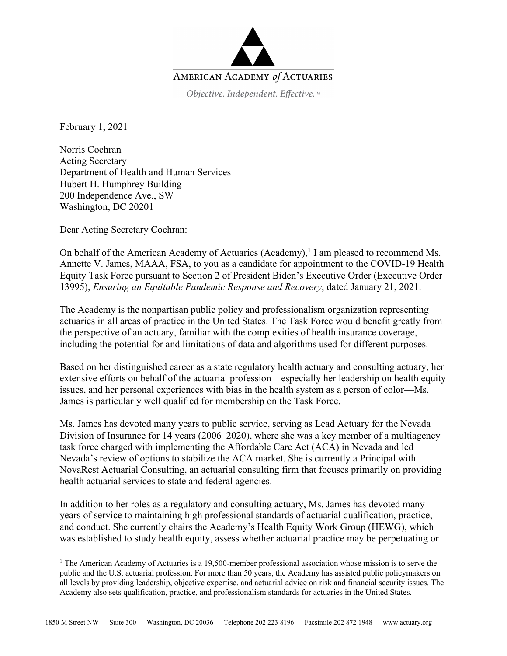

February 1, 2021

Norris Cochran Acting Secretary Department of Health and Human Services Hubert H. Humphrey Building 200 Independence Ave., SW Washington, DC 20201

Dear Acting Secretary Cochran:

On behalf of the American Academy of Actuaries (Academy),<sup>1</sup> I am pleased to recommend Ms. Annette V. James, MAAA, FSA, to you as a candidate for appointment to the COVID-19 Health Equity Task Force pursuant to Section 2 of President Biden's Executive Order (Executive Order 13995), *Ensuring an Equitable Pandemic Response and Recovery*, dated January 21, 2021.

The Academy is the nonpartisan public policy and professionalism organization representing actuaries in all areas of practice in the United States. The Task Force would benefit greatly from the perspective of an actuary, familiar with the complexities of health insurance coverage, including the potential for and limitations of data and algorithms used for different purposes.

Based on her distinguished career as a state regulatory health actuary and consulting actuary, her extensive efforts on behalf of the actuarial profession—especially her leadership on health equity issues, and her personal experiences with bias in the health system as a person of color—Ms. James is particularly well qualified for membership on the Task Force.

Ms. James has devoted many years to public service, serving as Lead Actuary for the Nevada Division of Insurance for 14 years (2006–2020), where she was a key member of a multiagency task force charged with implementing the Affordable Care Act (ACA) in Nevada and led Nevada's review of options to stabilize the ACA market. She is currently a Principal with NovaRest Actuarial Consulting, an actuarial consulting firm that focuses primarily on providing health actuarial services to state and federal agencies.

In addition to her roles as a regulatory and consulting actuary, Ms. James has devoted many years of service to maintaining high professional standards of actuarial qualification, practice, and conduct. She currently chairs the Academy's Health Equity Work Group (HEWG), which was established to study health equity, assess whether actuarial practice may be perpetuating or

<sup>&</sup>lt;sup>1</sup> The American Academy of Actuaries is a 19,500-member professional association whose mission is to serve the public and the U.S. actuarial profession. For more than 50 years, the Academy has assisted public policymakers on all levels by providing leadership, objective expertise, and actuarial advice on risk and financial security issues. The Academy also sets qualification, practice, and professionalism standards for actuaries in the United States.